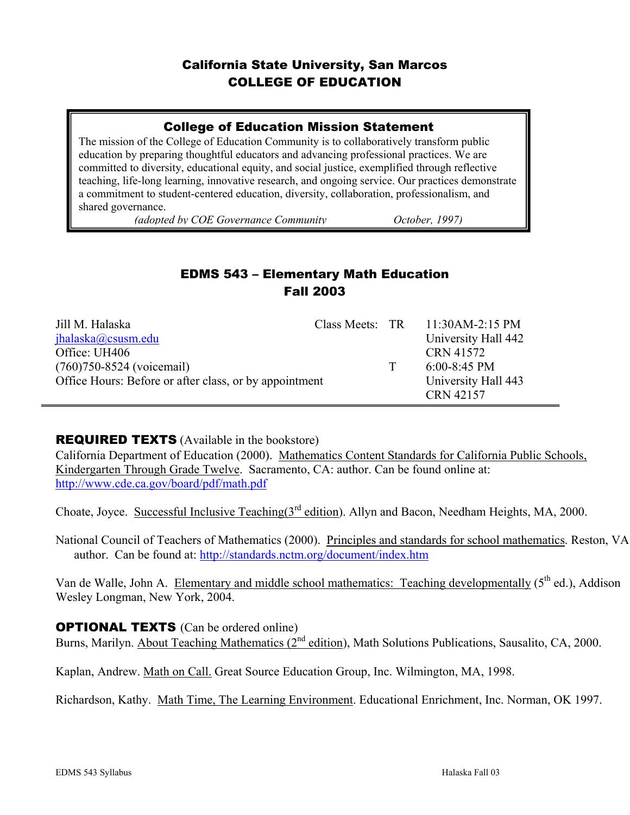## California State University, San Marcos COLLEGE OF EDUCATION

### College of Education Mission Statement

The mission of the College of Education Community is to collaboratively transform public education by preparing thoughtful educators and advancing professional practices. We are committed to diversity, educational equity, and social justice, exemplified through reflective teaching, life-long learning, innovative research, and ongoing service. Our practices demonstrate a commitment to student-centered education, diversity, collaboration, professionalism, and shared governance.

*(adopted by COE Governance Community October, 1997)*

## EDMS 543 – Elementary Math Education Fall 2003

| Jill M. Halaska                                        |  |   | Class Meets: $TR = 11:30AM-2:15 PM$ |
|--------------------------------------------------------|--|---|-------------------------------------|
| jhalaska@csusm.edu                                     |  |   | University Hall 442                 |
| Office: UH406                                          |  |   | CRN 41572                           |
| $(760)750 - 8524$ (voicemail)                          |  | T | $6:00-8:45$ PM                      |
| Office Hours: Before or after class, or by appointment |  |   | University Hall 443                 |
|                                                        |  |   | CRN 42157                           |

#### **REQUIRED TEXTS** (Available in the bookstore)

California Department of Education (2000). Mathematics Content Standards for California Public Schools, Kindergarten Through Grade Twelve. Sacramento, CA: author. Can be found online at: http://www.cde.ca.gov/board/pdf/math.pdf

Choate, Joyce. Successful Inclusive Teaching(3rd edition). Allyn and Bacon, Needham Heights, MA, 2000.

National Council of Teachers of Mathematics (2000). Principles and standards for school mathematics. Reston, VA author. Can be found at: http://standards.nctm.org/document/index.htm

Van de Walle, John A. Elementary and middle school mathematics: Teaching developmentally (5<sup>th</sup> ed.), Addison Wesley Longman, New York, 2004.

#### **OPTIONAL TEXTS** (Can be ordered online)

Burns, Marilyn. About Teaching Mathematics  $(2^{nd}$  edition), Math Solutions Publications, Sausalito, CA, 2000.

Kaplan, Andrew. Math on Call. Great Source Education Group, Inc. Wilmington, MA, 1998.

Richardson, Kathy. Math Time, The Learning Environment. Educational Enrichment, Inc. Norman, OK 1997.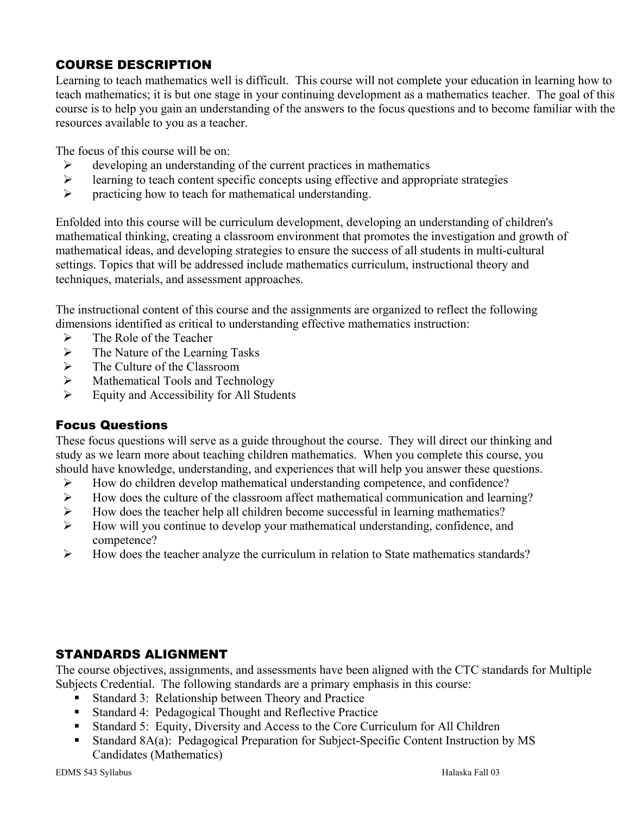## COURSE DESCRIPTION

Learning to teach mathematics well is difficult. This course will not complete your education in learning how to teach mathematics; it is but one stage in your continuing development as a mathematics teacher. The goal of this course is to help you gain an understanding of the answers to the focus questions and to become familiar with the resources available to you as a teacher.

The focus of this course will be on:

- $\triangleright$  developing an understanding of the current practices in mathematics
- $\geq$  learning to teach content specific concepts using effective and appropriate strategies<br> $\geq$  aracticing how to teach for mathematical understanding
- practicing how to teach for mathematical understanding.

Enfolded into this course will be curriculum development, developing an understanding of children's mathematical thinking, creating a classroom environment that promotes the investigation and growth of mathematical ideas, and developing strategies to ensure the success of all students in multi-cultural settings. Topics that will be addressed include mathematics curriculum, instructional theory and techniques, materials, and assessment approaches.

The instructional content of this course and the assignments are organized to reflect the following dimensions identified as critical to understanding effective mathematics instruction:

- $\triangleright$  The Role of the Teacher
- $\triangleright$  The Nature of the Learning Tasks
- $\triangleright$  The Culture of the Classroom
- $\triangleright$  Mathematical Tools and Technology
- $\triangleright$  Equity and Accessibility for All Students

#### Focus Questions

These focus questions will serve as a guide throughout the course. They will direct our thinking and study as we learn more about teaching children mathematics. When you complete this course, you should have knowledge, understanding, and experiences that will help you answer these questions.

- ¾ How do children develop mathematical understanding competence, and confidence?
- ¾ How does the culture of the classroom affect mathematical communication and learning?
- $\triangleright$  How does the teacher help all children become successful in learning mathematics?
- ¾ How will you continue to develop your mathematical understanding, confidence, and competence?
- ¾ How does the teacher analyze the curriculum in relation to State mathematics standards?

## STANDARDS ALIGNMENT

The course objectives, assignments, and assessments have been aligned with the CTC standards for Multiple Subjects Credential. The following standards are a primary emphasis in this course:

- Standard 3: Relationship between Theory and Practice
- Standard 4: Pedagogical Thought and Reflective Practice
- Standard 5: Equity, Diversity and Access to the Core Curriculum for All Children
- Standard 8A(a): Pedagogical Preparation for Subject-Specific Content Instruction by MS Candidates (Mathematics)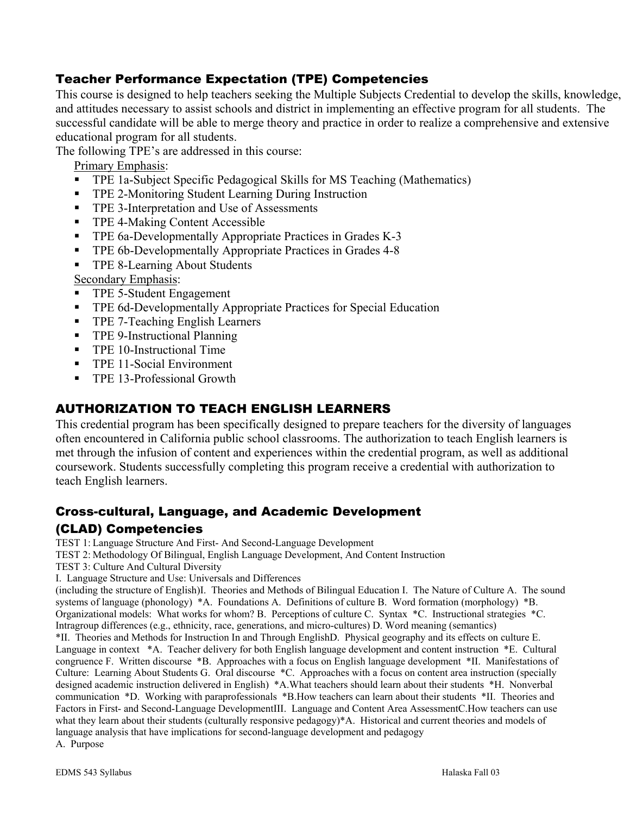## Teacher Performance Expectation (TPE) Competencies

This course is designed to help teachers seeking the Multiple Subjects Credential to develop the skills, knowledge, and attitudes necessary to assist schools and district in implementing an effective program for all students. The successful candidate will be able to merge theory and practice in order to realize a comprehensive and extensive educational program for all students.

The following TPE's are addressed in this course:

Primary Emphasis:

- TPE 1a-Subject Specific Pedagogical Skills for MS Teaching (Mathematics)
- **TPE 2-Monitoring Student Learning During Instruction**
- **TPE 3-Interpretation and Use of Assessments**
- **TPE 4-Making Content Accessible**
- **TPE 6a-Developmentally Appropriate Practices in Grades K-3**
- **TPE 6b-Developmentally Appropriate Practices in Grades 4-8**
- **TPE 8-Learning About Students**

Secondary Emphasis:

- TPE 5-Student Engagement
- **TPE 6d-Developmentally Appropriate Practices for Special Education**
- **TPE 7-Teaching English Learners**
- **TPE 9-Instructional Planning**
- **TPE 10-Instructional Time**
- **TPE 11-Social Environment**
- TPE 13-Professional Growth

#### AUTHORIZATION TO TEACH ENGLISH LEARNERS

This credential program has been specifically designed to prepare teachers for the diversity of languages often encountered in California public school classrooms. The authorization to teach English learners is met through the infusion of content and experiences within the credential program, as well as additional coursework. Students successfully completing this program receive a credential with authorization to teach English learners.

#### Cross-cultural, Language, and Academic Development

#### (CLAD) Competencies

TEST 1: Language Structure And First- And Second-Language Development

TEST 2: Methodology Of Bilingual, English Language Development, And Content Instruction

- TEST 3: Culture And Cultural Diversity
- I. Language Structure and Use: Universals and Differences

(including the structure of English)I. Theories and Methods of Bilingual Education I. The Nature of Culture A. The sound systems of language (phonology) \*A. Foundations A. Definitions of culture B. Word formation (morphology) \*B. Organizational models: What works for whom? B. Perceptions of culture C. Syntax \*C. Instructional strategies \*C. Intragroup differences (e.g., ethnicity, race, generations, and micro-cultures) D. Word meaning (semantics)

\*II. Theories and Methods for Instruction In and Through EnglishD. Physical geography and its effects on culture E. Language in context \*A. Teacher delivery for both English language development and content instruction \*E. Cultural congruence F. Written discourse \*B. Approaches with a focus on English language development \*II. Manifestations of Culture: Learning About Students G. Oral discourse \*C. Approaches with a focus on content area instruction (specially designed academic instruction delivered in English) \*A.What teachers should learn about their students \*H. Nonverbal communication \*D. Working with paraprofessionals \*B.How teachers can learn about their students \*II. Theories and Factors in First- and Second-Language DevelopmentIII. Language and Content Area AssessmentC.How teachers can use what they learn about their students (culturally responsive pedagogy)\*A. Historical and current theories and models of language analysis that have implications for second-language development and pedagogy A. Purpose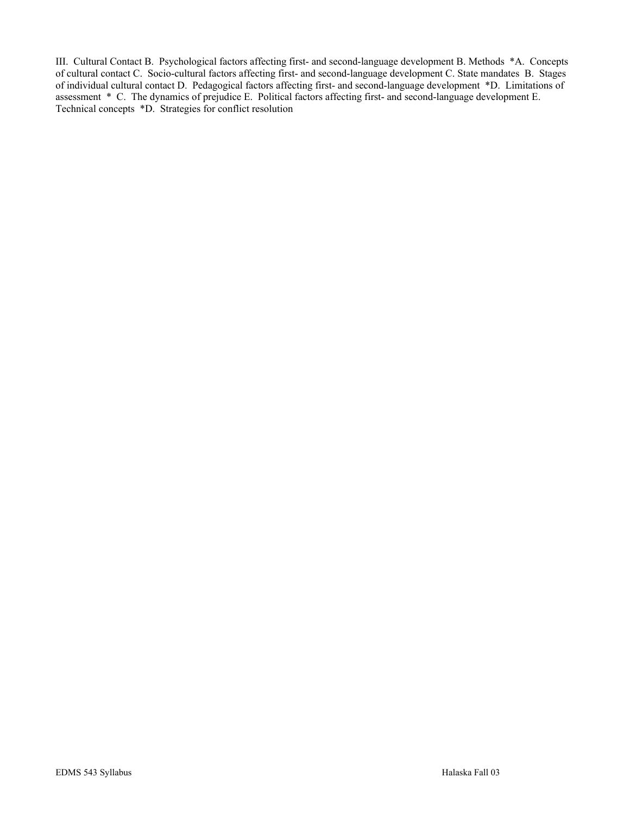III. Cultural Contact B. Psychological factors affecting first- and second-language development B. Methods \*A. Concepts of cultural contact C. Socio-cultural factors affecting first- and second-language development C. State mandates B. Stages of individual cultural contact D. Pedagogical factors affecting first- and second-language development \*D. Limitations of assessment \* C. The dynamics of prejudice E. Political factors affecting first- and second-language development E. Technical concepts \*D. Strategies for conflict resolution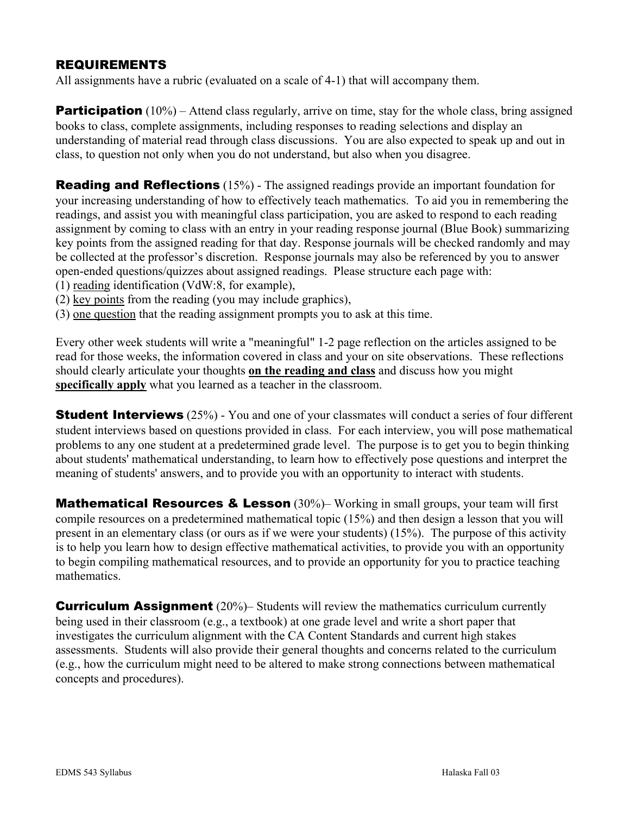#### REQUIREMENTS

All assignments have a rubric (evaluated on a scale of 4-1) that will accompany them.

**Participation** (10%) – Attend class regularly, arrive on time, stay for the whole class, bring assigned books to class, complete assignments, including responses to reading selections and display an understanding of material read through class discussions. You are also expected to speak up and out in class, to question not only when you do not understand, but also when you disagree.

**Reading and Reflections** (15%) - The assigned readings provide an important foundation for your increasing understanding of how to effectively teach mathematics. To aid you in remembering the readings, and assist you with meaningful class participation, you are asked to respond to each reading assignment by coming to class with an entry in your reading response journal (Blue Book) summarizing key points from the assigned reading for that day. Response journals will be checked randomly and may be collected at the professor's discretion. Response journals may also be referenced by you to answer open-ended questions/quizzes about assigned readings. Please structure each page with:

- (1) reading identification (VdW:8, for example),
- (2) key points from the reading (you may include graphics),
- (3) one question that the reading assignment prompts you to ask at this time.

Every other week students will write a "meaningful" 1-2 page reflection on the articles assigned to be read for those weeks, the information covered in class and your on site observations. These reflections should clearly articulate your thoughts **on the reading and class** and discuss how you might **specifically apply** what you learned as a teacher in the classroom.

**Student Interviews** (25%) - You and one of your classmates will conduct a series of four different student interviews based on questions provided in class. For each interview, you will pose mathematical problems to any one student at a predetermined grade level. The purpose is to get you to begin thinking about students' mathematical understanding, to learn how to effectively pose questions and interpret the meaning of students' answers, and to provide you with an opportunity to interact with students.

**Mathematical Resources & Lesson** (30%)– Working in small groups, your team will first compile resources on a predetermined mathematical topic (15%) and then design a lesson that you will present in an elementary class (or ours as if we were your students) (15%). The purpose of this activity is to help you learn how to design effective mathematical activities, to provide you with an opportunity to begin compiling mathematical resources, and to provide an opportunity for you to practice teaching mathematics.

**Curriculum Assignment** (20%)– Students will review the mathematics curriculum currently being used in their classroom (e.g., a textbook) at one grade level and write a short paper that investigates the curriculum alignment with the CA Content Standards and current high stakes assessments. Students will also provide their general thoughts and concerns related to the curriculum (e.g., how the curriculum might need to be altered to make strong connections between mathematical concepts and procedures).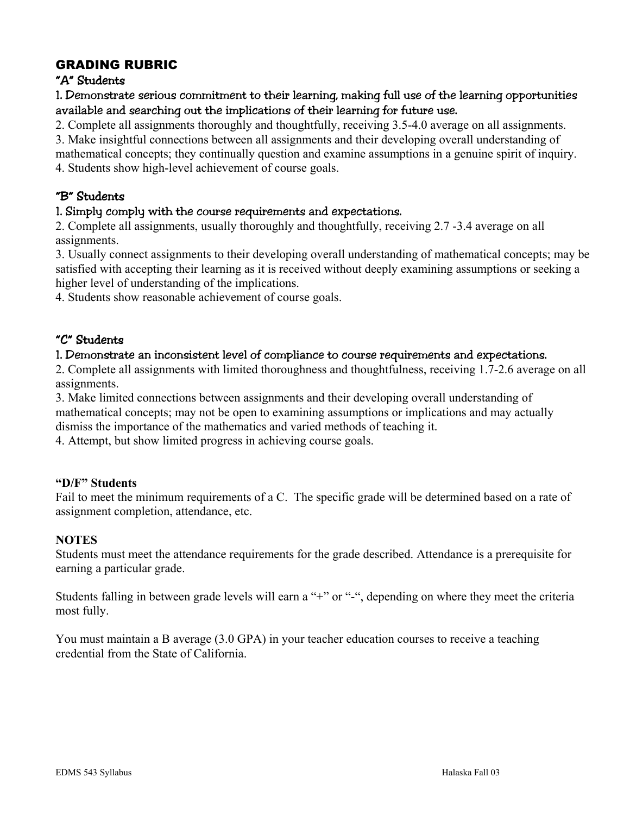## GRADING RUBRIC

#### "A" Students

1. Demonstrate serious commitment to their learning, making full use of the learning opportunities available and searching out the implications of their learning for future use.

2. Complete all assignments thoroughly and thoughtfully, receiving 3.5-4.0 average on all assignments.

3. Make insightful connections between all assignments and their developing overall understanding of

mathematical concepts; they continually question and examine assumptions in a genuine spirit of inquiry. 4. Students show high-level achievement of course goals.

#### "B" Students

#### 1. Simply comply with the course requirements and expectations.

2. Complete all assignments, usually thoroughly and thoughtfully, receiving 2.7 -3.4 average on all assignments.

3. Usually connect assignments to their developing overall understanding of mathematical concepts; may be satisfied with accepting their learning as it is received without deeply examining assumptions or seeking a higher level of understanding of the implications.

4. Students show reasonable achievement of course goals.

#### "C" Students

#### 1. Demonstrate an inconsistent level of compliance to course requirements and expectations.

2. Complete all assignments with limited thoroughness and thoughtfulness, receiving 1.7-2.6 average on all assignments.

3. Make limited connections between assignments and their developing overall understanding of mathematical concepts; may not be open to examining assumptions or implications and may actually dismiss the importance of the mathematics and varied methods of teaching it.

4. Attempt, but show limited progress in achieving course goals.

#### **"D/F" Students**

Fail to meet the minimum requirements of a C. The specific grade will be determined based on a rate of assignment completion, attendance, etc.

#### **NOTES**

Students must meet the attendance requirements for the grade described. Attendance is a prerequisite for earning a particular grade.

Students falling in between grade levels will earn a "+" or "-", depending on where they meet the criteria most fully.

You must maintain a B average (3.0 GPA) in your teacher education courses to receive a teaching credential from the State of California.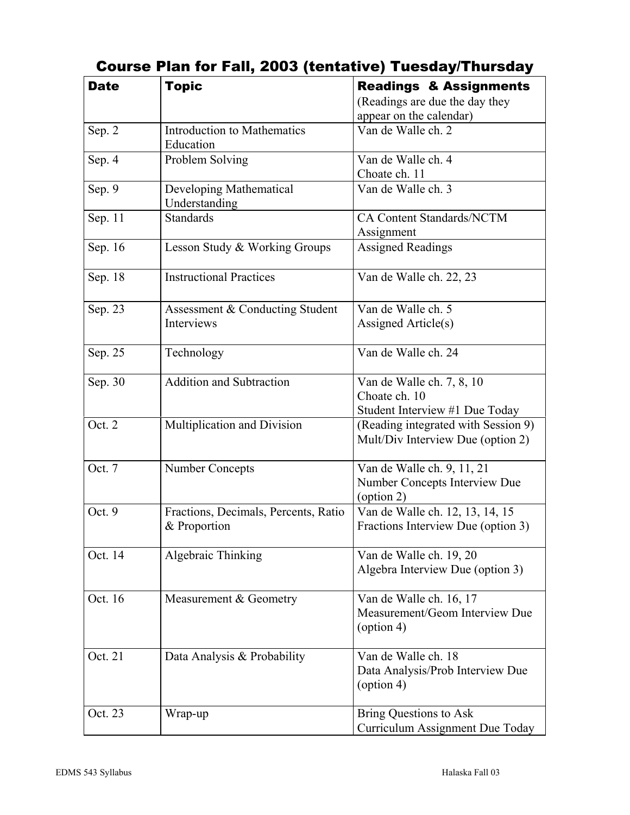| <b>Date</b> | <b>Topic</b>                                         | <b>Readings &amp; Assignments</b>                                         |  |
|-------------|------------------------------------------------------|---------------------------------------------------------------------------|--|
|             |                                                      | (Readings are due the day they                                            |  |
|             |                                                      | appear on the calendar)                                                   |  |
| Sep. 2      | <b>Introduction to Mathematics</b><br>Education      | Van de Walle ch. 2                                                        |  |
| Sep. 4      | Problem Solving                                      | Van de Walle ch. 4                                                        |  |
|             |                                                      | Choate ch. 11                                                             |  |
| Sep. 9      | Developing Mathematical<br>Understanding             | Van de Walle ch. 3                                                        |  |
| Sep. 11     | <b>Standards</b>                                     | CA Content Standards/NCTM<br>Assignment                                   |  |
| Sep. 16     | Lesson Study & Working Groups                        | <b>Assigned Readings</b>                                                  |  |
| Sep. 18     | <b>Instructional Practices</b>                       | Van de Walle ch. 22, 23                                                   |  |
| Sep. 23     | Assessment & Conducting Student                      | Van de Walle ch. 5                                                        |  |
|             | Interviews                                           | Assigned Article(s)                                                       |  |
| Sep. 25     | Technology                                           | Van de Walle ch. 24                                                       |  |
| Sep. 30     | <b>Addition and Subtraction</b>                      | Van de Walle ch. 7, 8, 10                                                 |  |
|             |                                                      | Choate ch. 10                                                             |  |
|             |                                                      | Student Interview #1 Due Today                                            |  |
| Oct. 2      | Multiplication and Division                          | (Reading integrated with Session 9)<br>Mult/Div Interview Due (option 2)  |  |
| Oct. 7      | <b>Number Concepts</b>                               | Van de Walle ch. 9, 11, 21<br>Number Concepts Interview Due<br>(option 2) |  |
| Oct. 9      | Fractions, Decimals, Percents, Ratio<br>& Proportion | Van de Walle ch. 12, 13, 14, 15<br>Fractions Interview Due (option 3)     |  |
| Oct. 14     | Algebraic Thinking                                   | Van de Walle ch. 19, 20                                                   |  |
|             |                                                      | Algebra Interview Due (option 3)                                          |  |
| Oct. 16     | Measurement & Geometry                               | Van de Walle ch. 16, 17<br>Measurement/Geom Interview Due                 |  |
|             |                                                      | (option 4)                                                                |  |
| Oct. 21     | Data Analysis & Probability                          | Van de Walle ch. 18                                                       |  |
|             |                                                      | Data Analysis/Prob Interview Due<br>$\text{(option 4)}$                   |  |
| Oct. 23     | Wrap-up                                              | <b>Bring Questions to Ask</b><br>Curriculum Assignment Due Today          |  |
|             |                                                      |                                                                           |  |

# Course Plan for Fall, 2003 (tentative) Tuesday/Thursday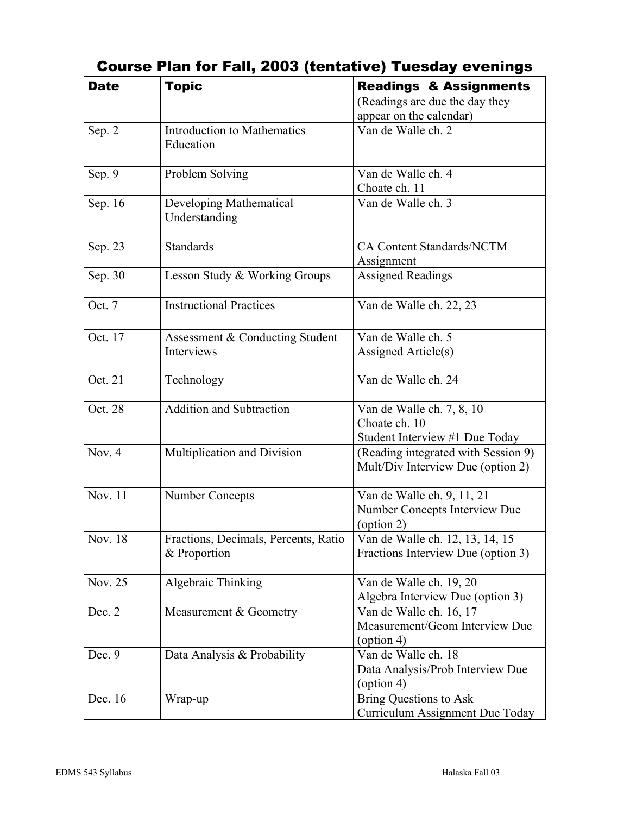| <b>Date</b> | <b>Topic</b>                                         | <b>Readings &amp; Assignments</b>                                                |
|-------------|------------------------------------------------------|----------------------------------------------------------------------------------|
|             |                                                      | (Readings are due the day they                                                   |
|             | <b>Introduction to Mathematics</b>                   | appear on the calendar)<br>Van de Walle ch. 2                                    |
| Sep. 2      | Education                                            |                                                                                  |
| Sep. 9      | Problem Solving                                      | Van de Walle ch. 4<br>Choate ch. 11                                              |
| Sep. 16     | Developing Mathematical<br>Understanding             | Van de Walle ch. 3                                                               |
| Sep. 23     | <b>Standards</b>                                     | <b>CA Content Standards/NCTM</b><br>Assignment                                   |
| Sep. 30     | Lesson Study & Working Groups                        | <b>Assigned Readings</b>                                                         |
| Oct. 7      | <b>Instructional Practices</b>                       | Van de Walle ch. 22, 23                                                          |
| Oct. 17     | Assessment & Conducting Student<br>Interviews        | Van de Walle ch. 5<br>Assigned Article(s)                                        |
| Oct. 21     | Technology                                           | Van de Walle ch. 24                                                              |
| Oct. 28     | Addition and Subtraction                             | Van de Walle ch. 7, 8, 10<br>Choate ch. 10<br>Student Interview #1 Due Today     |
| Nov. 4      | Multiplication and Division                          | (Reading integrated with Session 9)<br>Mult/Div Interview Due (option 2)         |
| Nov. 11     | <b>Number Concepts</b>                               | Van de Walle ch. 9, 11, 21<br>Number Concepts Interview Due<br>(option 2)        |
| Nov. 18     | Fractions, Decimals, Percents, Ratio<br>& Proportion | Van de Walle ch. 12, 13, 14, 15<br>Fractions Interview Due (option 3)            |
| Nov. 25     | Algebraic Thinking                                   | Van de Walle ch. 19, 20<br>Algebra Interview Due (option 3)                      |
| Dec. 2      | Measurement & Geometry                               | Van de Walle ch. 16, 17<br>Measurement/Geom Interview Due<br>$\text{(option 4)}$ |
| Dec. 9      | Data Analysis & Probability                          | Van de Walle ch. 18<br>Data Analysis/Prob Interview Due<br>$\text{(option 4)}$   |
| Dec. 16     | Wrap-up                                              | <b>Bring Questions to Ask</b><br>Curriculum Assignment Due Today                 |

# Course Plan for Fall, 2003 (tentative) Tuesday evenings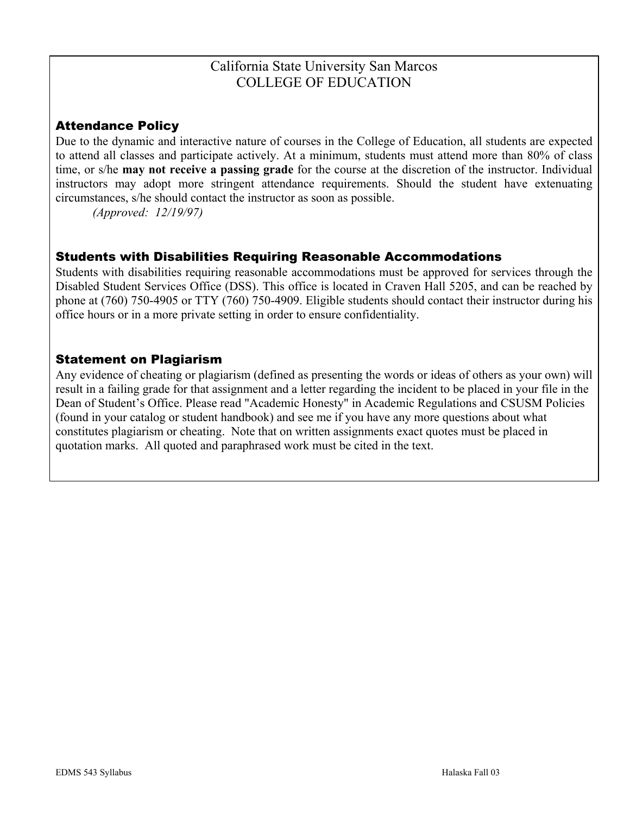## California State University San Marcos COLLEGE OF EDUCATION

## Attendance Policy

Due to the dynamic and interactive nature of courses in the College of Education, all students are expected to attend all classes and participate actively. At a minimum, students must attend more than 80% of class time, or s/he **may not receive a passing grade** for the course at the discretion of the instructor. Individual instructors may adopt more stringent attendance requirements. Should the student have extenuating circumstances, s/he should contact the instructor as soon as possible.

*(Approved: 12/19/97)* 

#### Students with Disabilities Requiring Reasonable Accommodations

Students with disabilities requiring reasonable accommodations must be approved for services through the Disabled Student Services Office (DSS). This office is located in Craven Hall 5205, and can be reached by phone at (760) 750-4905 or TTY (760) 750-4909. Eligible students should contact their instructor during his office hours or in a more private setting in order to ensure confidentiality.

#### Statement on Plagiarism

Any evidence of cheating or plagiarism (defined as presenting the words or ideas of others as your own) will result in a failing grade for that assignment and a letter regarding the incident to be placed in your file in the Dean of Student's Office. Please read "Academic Honesty" in Academic Regulations and CSUSM Policies (found in your catalog or student handbook) and see me if you have any more questions about what constitutes plagiarism or cheating. Note that on written assignments exact quotes must be placed in quotation marks. All quoted and paraphrased work must be cited in the text.